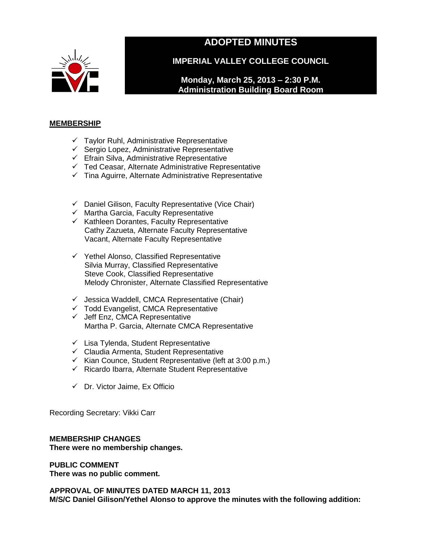

# **ADOPTED MINUTES**

**IMPERIAL VALLEY COLLEGE COUNCIL**

**Monday, March 25, 2013 – 2:30 P.M. Administration Building Board Room**

## **MEMBERSHIP**

- $\checkmark$  Taylor Ruhl, Administrative Representative
- $\checkmark$  Sergio Lopez, Administrative Representative
- $\checkmark$  Efrain Silva, Administrative Representative
- $\checkmark$  Ted Ceasar, Alternate Administrative Representative
- $\checkmark$  Tina Aguirre, Alternate Administrative Representative
- $\checkmark$  Daniel Gilison, Faculty Representative (Vice Chair)
- $\checkmark$  Martha Garcia, Faculty Representative
- $\checkmark$  Kathleen Dorantes, Faculty Representative Cathy Zazueta, Alternate Faculty Representative Vacant, Alternate Faculty Representative
- $\checkmark$  Yethel Alonso, Classified Representative Silvia Murray, Classified Representative Steve Cook, Classified Representative Melody Chronister, Alternate Classified Representative
- $\checkmark$  Jessica Waddell, CMCA Representative (Chair)
- $\checkmark$  Todd Evangelist, CMCA Representative
- $\checkmark$  Jeff Enz, CMCA Representative Martha P. Garcia, Alternate CMCA Representative
- $\checkmark$  Lisa Tylenda, Student Representative
- $\checkmark$  Claudia Armenta, Student Representative
- $\checkmark$  Kian Counce, Student Representative (left at 3:00 p.m.)
- $\checkmark$  Ricardo Ibarra, Alternate Student Representative
- $\checkmark$  Dr. Victor Jaime, Ex Officio

Recording Secretary: Vikki Carr

# **MEMBERSHIP CHANGES**

**There were no membership changes.**

**PUBLIC COMMENT There was no public comment.**

**APPROVAL OF MINUTES DATED MARCH 11, 2013 M/S/C Daniel Gilison/Yethel Alonso to approve the minutes with the following addition:**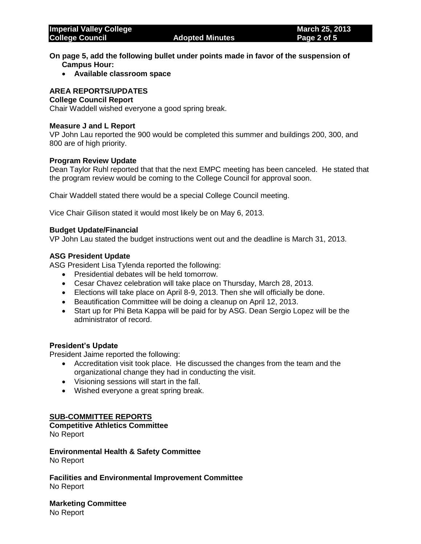- **On page 5, add the following bullet under points made in favor of the suspension of Campus Hour:**
	- **Available classroom space**

# **AREA REPORTS/UPDATES**

#### **College Council Report**

Chair Waddell wished everyone a good spring break.

#### **Measure J and L Report**

VP John Lau reported the 900 would be completed this summer and buildings 200, 300, and 800 are of high priority.

### **Program Review Update**

Dean Taylor Ruhl reported that that the next EMPC meeting has been canceled. He stated that the program review would be coming to the College Council for approval soon.

Chair Waddell stated there would be a special College Council meeting.

Vice Chair Gilison stated it would most likely be on May 6, 2013.

#### **Budget Update/Financial**

VP John Lau stated the budget instructions went out and the deadline is March 31, 2013.

#### **ASG President Update**

ASG President Lisa Tylenda reported the following:

- Presidential debates will be held tomorrow.
- Cesar Chavez celebration will take place on Thursday, March 28, 2013.
- Elections will take place on April 8-9, 2013. Then she will officially be done.
- Beautification Committee will be doing a cleanup on April 12, 2013.
- Start up for Phi Beta Kappa will be paid for by ASG. Dean Sergio Lopez will be the administrator of record.

### **President's Update**

President Jaime reported the following:

- Accreditation visit took place. He discussed the changes from the team and the organizational change they had in conducting the visit.
- Visioning sessions will start in the fall.
- Wished everyone a great spring break.

## **SUB-COMMITTEE REPORTS**

# **Competitive Athletics Committee**

No Report

**Environmental Health & Safety Committee**  No Report

**Facilities and Environmental Improvement Committee** No Report

**Marketing Committee** No Report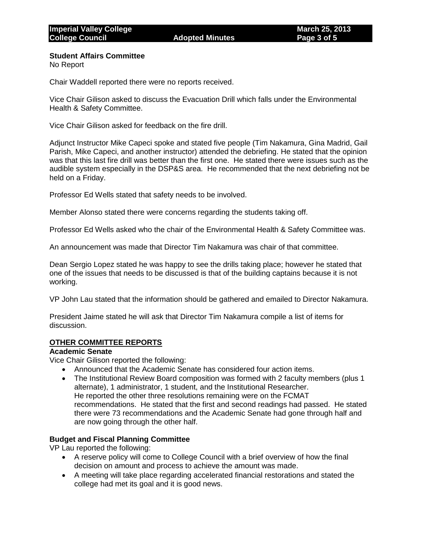## **Student Affairs Committee**

No Report

Chair Waddell reported there were no reports received.

Vice Chair Gilison asked to discuss the Evacuation Drill which falls under the Environmental Health & Safety Committee.

Vice Chair Gilison asked for feedback on the fire drill.

Adjunct Instructor Mike Capeci spoke and stated five people (Tim Nakamura, Gina Madrid, Gail Parish, Mike Capeci, and another instructor) attended the debriefing. He stated that the opinion was that this last fire drill was better than the first one. He stated there were issues such as the audible system especially in the DSP&S area. He recommended that the next debriefing not be held on a Friday.

Professor Ed Wells stated that safety needs to be involved.

Member Alonso stated there were concerns regarding the students taking off.

Professor Ed Wells asked who the chair of the Environmental Health & Safety Committee was.

An announcement was made that Director Tim Nakamura was chair of that committee.

Dean Sergio Lopez stated he was happy to see the drills taking place; however he stated that one of the issues that needs to be discussed is that of the building captains because it is not working.

VP John Lau stated that the information should be gathered and emailed to Director Nakamura.

President Jaime stated he will ask that Director Tim Nakamura compile a list of items for discussion.

# **OTHER COMMITTEE REPORTS**

# **Academic Senate**

Vice Chair Gilison reported the following:

- Announced that the Academic Senate has considered four action items.
- The Institutional Review Board composition was formed with 2 faculty members (plus 1) alternate), 1 administrator, 1 student, and the Institutional Researcher. He reported the other three resolutions remaining were on the FCMAT recommendations. He stated that the first and second readings had passed. He stated there were 73 recommendations and the Academic Senate had gone through half and are now going through the other half.

# **Budget and Fiscal Planning Committee**

VP Lau reported the following:

- A reserve policy will come to College Council with a brief overview of how the final decision on amount and process to achieve the amount was made.
- A meeting will take place regarding accelerated financial restorations and stated the college had met its goal and it is good news.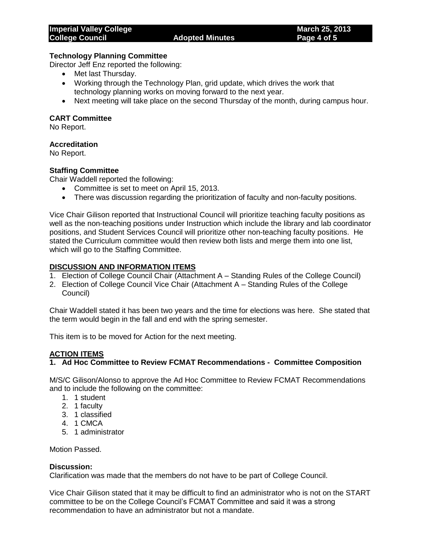#### **Technology Planning Committee**

Director Jeff Enz reported the following:

- Met last Thursday.
- Working through the Technology Plan, grid update, which drives the work that technology planning works on moving forward to the next year.
- Next meeting will take place on the second Thursday of the month, during campus hour.

## **CART Committee**

No Report.

## **Accreditation**

No Report.

## **Staffing Committee**

Chair Waddell reported the following:

- Committee is set to meet on April 15, 2013.
- There was discussion regarding the prioritization of faculty and non-faculty positions.

Vice Chair Gilison reported that Instructional Council will prioritize teaching faculty positions as well as the non-teaching positions under Instruction which include the library and lab coordinator positions, and Student Services Council will prioritize other non-teaching faculty positions. He stated the Curriculum committee would then review both lists and merge them into one list, which will go to the Staffing Committee.

## **DISCUSSION AND INFORMATION ITEMS**

- 1. Election of College Council Chair (Attachment A Standing Rules of the College Council)
- 2. Election of College Council Vice Chair (Attachment A Standing Rules of the College Council)

Chair Waddell stated it has been two years and the time for elections was here. She stated that the term would begin in the fall and end with the spring semester.

This item is to be moved for Action for the next meeting.

# **ACTION ITEMS**

# **1. Ad Hoc Committee to Review FCMAT Recommendations - Committee Composition**

M/S/C Gilison/Alonso to approve the Ad Hoc Committee to Review FCMAT Recommendations and to include the following on the committee:

- 1. 1 student
- 2. 1 faculty
- 3. 1 classified
- 4. 1 CMCA
- 5. 1 administrator

Motion Passed.

### **Discussion:**

Clarification was made that the members do not have to be part of College Council.

Vice Chair Gilison stated that it may be difficult to find an administrator who is not on the START committee to be on the College Council's FCMAT Committee and said it was a strong recommendation to have an administrator but not a mandate.